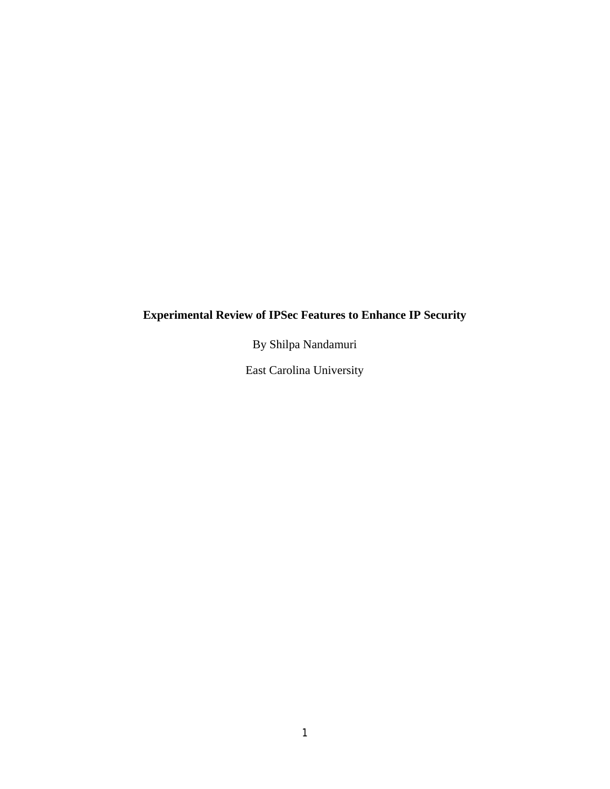# **Experimental Review of IPSec Features to Enhance IP Security**

By Shilpa Nandamuri

East Carolina University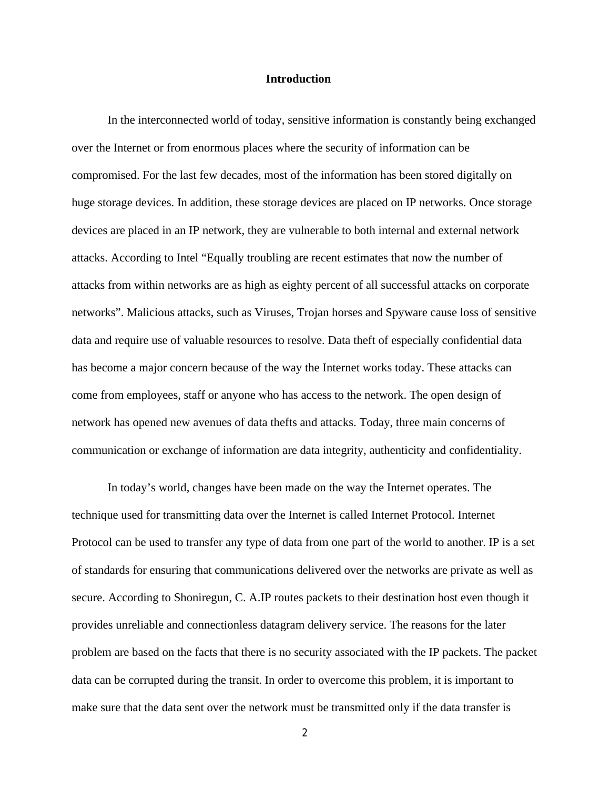## **Introduction**

In the interconnected world of today, sensitive information is constantly being exchanged over the Internet or from enormous places where the security of information can be compromised. For the last few decades, most of the information has been stored digitally on huge storage devices. In addition, these storage devices are placed on IP networks. Once storage devices are placed in an IP network, they are vulnerable to both internal and external network attacks. According to Intel "Equally troubling are recent estimates that now the number of attacks from within networks are as high as eighty percent of all successful attacks on corporate networks". Malicious attacks, such as Viruses, Trojan horses and Spyware cause loss of sensitive data and require use of valuable resources to resolve. Data theft of especially confidential data has become a major concern because of the way the Internet works today. These attacks can come from employees, staff or anyone who has access to the network. The open design of network has opened new avenues of data thefts and attacks. Today, three main concerns of communication or exchange of information are data integrity, authenticity and confidentiality.

In today's world, changes have been made on the way the Internet operates. The technique used for transmitting data over the Internet is called Internet Protocol. Internet Protocol can be used to transfer any type of data from one part of the world to another. IP is a set of standards for ensuring that communications delivered over the networks are private as well as secure. According to Shoniregun, C. A.IP routes packets to their destination host even though it provides unreliable and connectionless datagram delivery service. The reasons for the later problem are based on the facts that there is no security associated with the IP packets. The packet data can be corrupted during the transit. In order to overcome this problem, it is important to make sure that the data sent over the network must be transmitted only if the data transfer is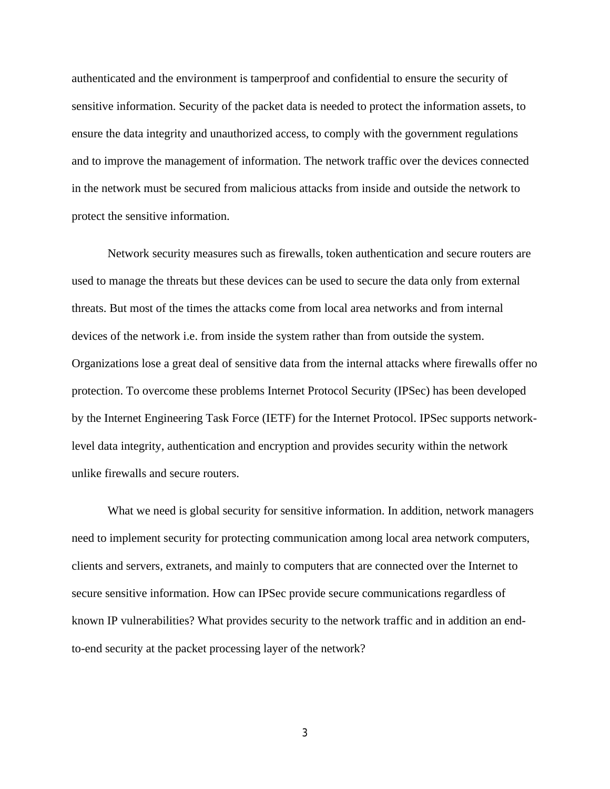authenticated and the environment is tamperproof and confidential to ensure the security of sensitive information. Security of the packet data is needed to protect the information assets, to ensure the data integrity and unauthorized access, to comply with the government regulations and to improve the management of information. The network traffic over the devices connected in the network must be secured from malicious attacks from inside and outside the network to protect the sensitive information.

Network security measures such as firewalls, token authentication and secure routers are used to manage the threats but these devices can be used to secure the data only from external threats. But most of the times the attacks come from local area networks and from internal devices of the network i.e. from inside the system rather than from outside the system. Organizations lose a great deal of sensitive data from the internal attacks where firewalls offer no protection. To overcome these problems Internet Protocol Security (IPSec) has been developed by the Internet Engineering Task Force (IETF) for the Internet Protocol. IPSec supports networklevel data integrity, authentication and encryption and provides security within the network unlike firewalls and secure routers.

What we need is global security for sensitive information. In addition, network managers need to implement security for protecting communication among local area network computers, clients and servers, extranets, and mainly to computers that are connected over the Internet to secure sensitive information. How can IPSec provide secure communications regardless of known IP vulnerabilities? What provides security to the network traffic and in addition an endto-end security at the packet processing layer of the network?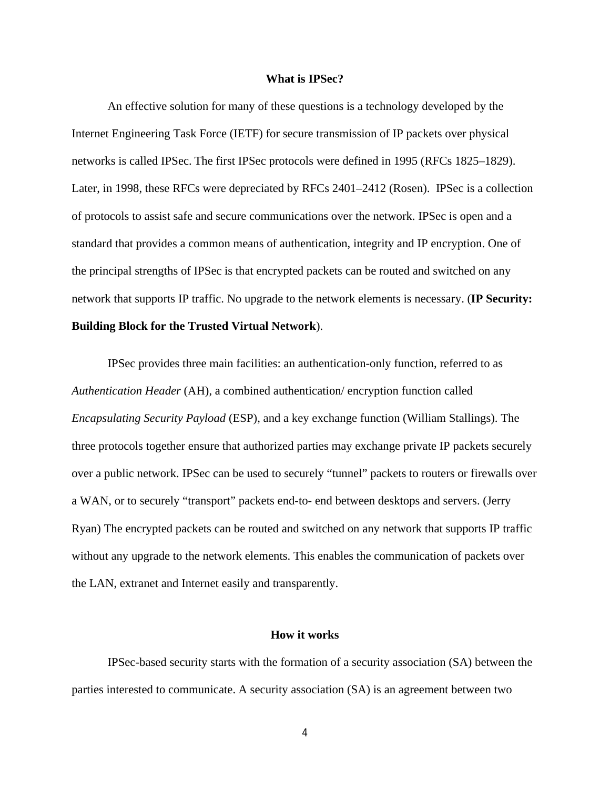#### **What is IPSec?**

An effective solution for many of these questions is a technology developed by the Internet Engineering Task Force (IETF) for secure transmission of IP packets over physical networks is called IPSec. The first IPSec protocols were defined in 1995 (RFCs 1825–1829). Later, in 1998, these RFCs were depreciated by RFCs 2401–2412 (Rosen). IPSec is a collection of protocols to assist safe and secure communications over the network. IPSec is open and a standard that provides a common means of authentication, integrity and IP encryption. One of the principal strengths of IPSec is that encrypted packets can be routed and switched on any network that supports IP traffic. No upgrade to the network elements is necessary. (**IP Security: Building Block for the Trusted Virtual Network**).

IPSec provides three main facilities: an authentication-only function, referred to as *Authentication Header* (AH), a combined authentication/ encryption function called *Encapsulating Security Payload* (ESP), and a key exchange function (William Stallings). The three protocols together ensure that authorized parties may exchange private IP packets securely over a public network. IPSec can be used to securely "tunnel" packets to routers or firewalls over a WAN, or to securely "transport" packets end-to- end between desktops and servers. (Jerry Ryan) The encrypted packets can be routed and switched on any network that supports IP traffic without any upgrade to the network elements. This enables the communication of packets over the LAN, extranet and Internet easily and transparently.

#### **How it works**

IPSec-based security starts with the formation of a security association (SA) between the parties interested to communicate. A security association (SA) is an agreement between two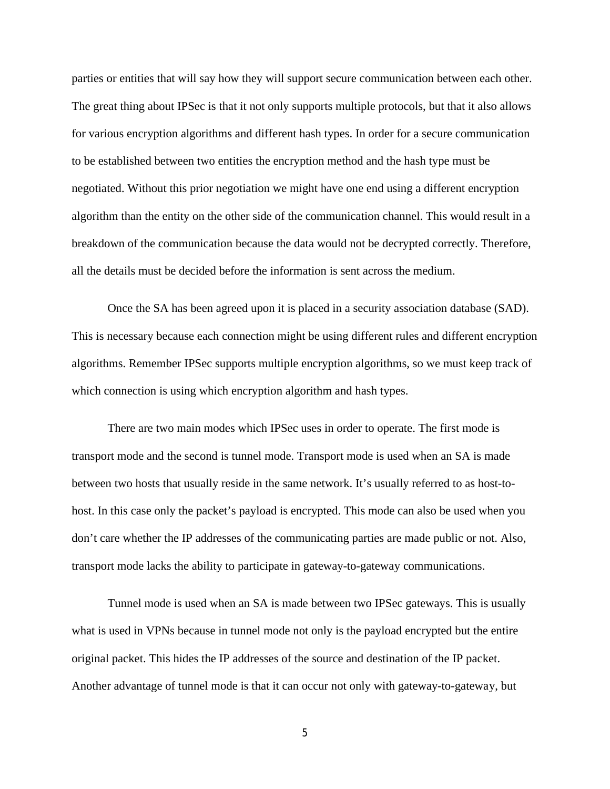parties or entities that will say how they will support secure communication between each other. The great thing about IPSec is that it not only supports multiple protocols, but that it also allows for various encryption algorithms and different hash types. In order for a secure communication to be established between two entities the encryption method and the hash type must be negotiated. Without this prior negotiation we might have one end using a different encryption algorithm than the entity on the other side of the communication channel. This would result in a breakdown of the communication because the data would not be decrypted correctly. Therefore, all the details must be decided before the information is sent across the medium.

Once the SA has been agreed upon it is placed in a security association database (SAD). This is necessary because each connection might be using different rules and different encryption algorithms. Remember IPSec supports multiple encryption algorithms, so we must keep track of which connection is using which encryption algorithm and hash types.

There are two main modes which IPSec uses in order to operate. The first mode is transport mode and the second is tunnel mode. Transport mode is used when an SA is made between two hosts that usually reside in the same network. It's usually referred to as host-tohost. In this case only the packet's payload is encrypted. This mode can also be used when you don't care whether the IP addresses of the communicating parties are made public or not. Also, transport mode lacks the ability to participate in gateway-to-gateway communications.

Tunnel mode is used when an SA is made between two IPSec gateways. This is usually what is used in VPNs because in tunnel mode not only is the payload encrypted but the entire original packet. This hides the IP addresses of the source and destination of the IP packet. Another advantage of tunnel mode is that it can occur not only with gateway-to-gateway, but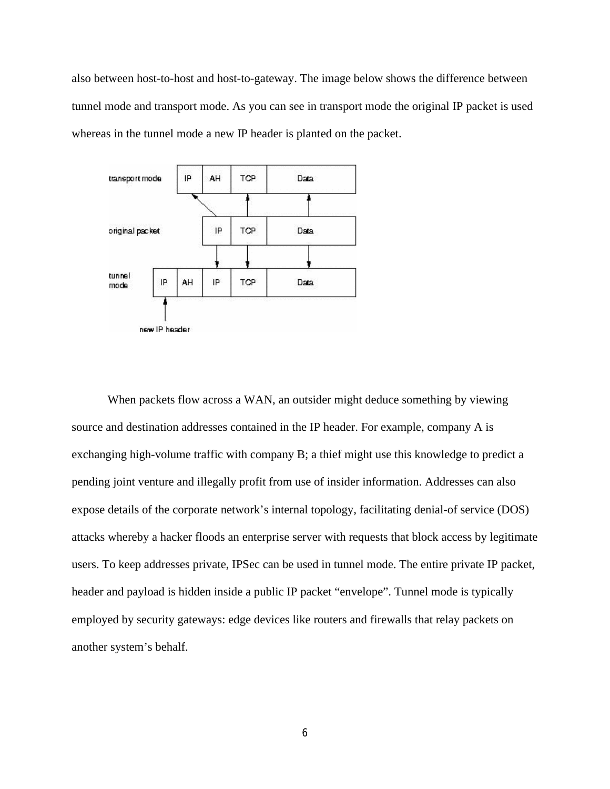also between host-to-host and host-to-gateway. The image below shows the difference between tunnel mode and transport mode. As you can see in transport mode the original IP packet is used whereas in the tunnel mode a new IP header is planted on the packet.



When packets flow across a WAN, an outsider might deduce something by viewing source and destination addresses contained in the IP header. For example, company A is exchanging high-volume traffic with company B; a thief might use this knowledge to predict a pending joint venture and illegally profit from use of insider information. Addresses can also expose details of the corporate network's internal topology, facilitating denial-of service (DOS) attacks whereby a hacker floods an enterprise server with requests that block access by legitimate users. To keep addresses private, IPSec can be used in tunnel mode. The entire private IP packet, header and payload is hidden inside a public IP packet "envelope". Tunnel mode is typically employed by security gateways: edge devices like routers and firewalls that relay packets on another system's behalf.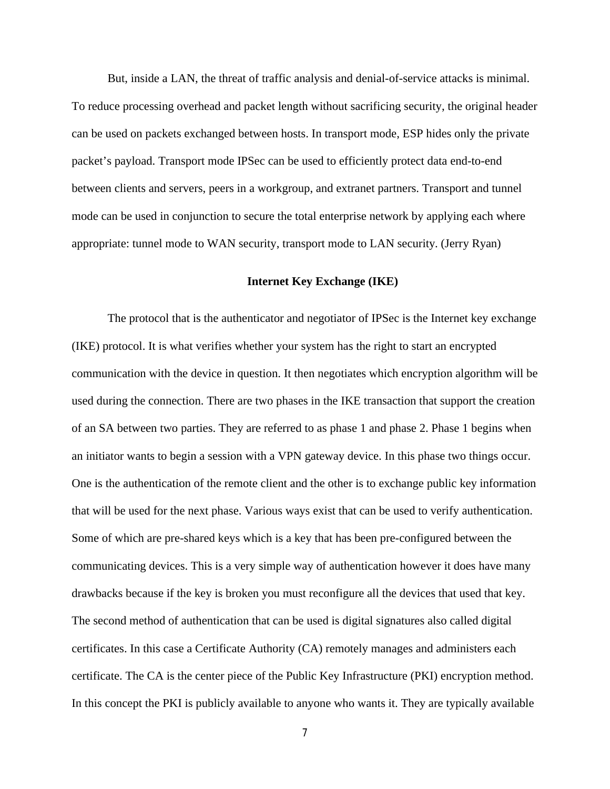But, inside a LAN, the threat of traffic analysis and denial-of-service attacks is minimal. To reduce processing overhead and packet length without sacrificing security, the original header can be used on packets exchanged between hosts. In transport mode, ESP hides only the private packet's payload. Transport mode IPSec can be used to efficiently protect data end-to-end between clients and servers, peers in a workgroup, and extranet partners. Transport and tunnel mode can be used in conjunction to secure the total enterprise network by applying each where appropriate: tunnel mode to WAN security, transport mode to LAN security. (Jerry Ryan)

## **Internet Key Exchange (IKE)**

The protocol that is the authenticator and negotiator of IPSec is the Internet key exchange (IKE) protocol. It is what verifies whether your system has the right to start an encrypted communication with the device in question. It then negotiates which encryption algorithm will be used during the connection. There are two phases in the IKE transaction that support the creation of an SA between two parties. They are referred to as phase 1 and phase 2. Phase 1 begins when an initiator wants to begin a session with a VPN gateway device. In this phase two things occur. One is the authentication of the remote client and the other is to exchange public key information that will be used for the next phase. Various ways exist that can be used to verify authentication. Some of which are pre-shared keys which is a key that has been pre-configured between the communicating devices. This is a very simple way of authentication however it does have many drawbacks because if the key is broken you must reconfigure all the devices that used that key. The second method of authentication that can be used is digital signatures also called digital certificates. In this case a Certificate Authority (CA) remotely manages and administers each certificate. The CA is the center piece of the Public Key Infrastructure (PKI) encryption method. In this concept the PKI is publicly available to anyone who wants it. They are typically available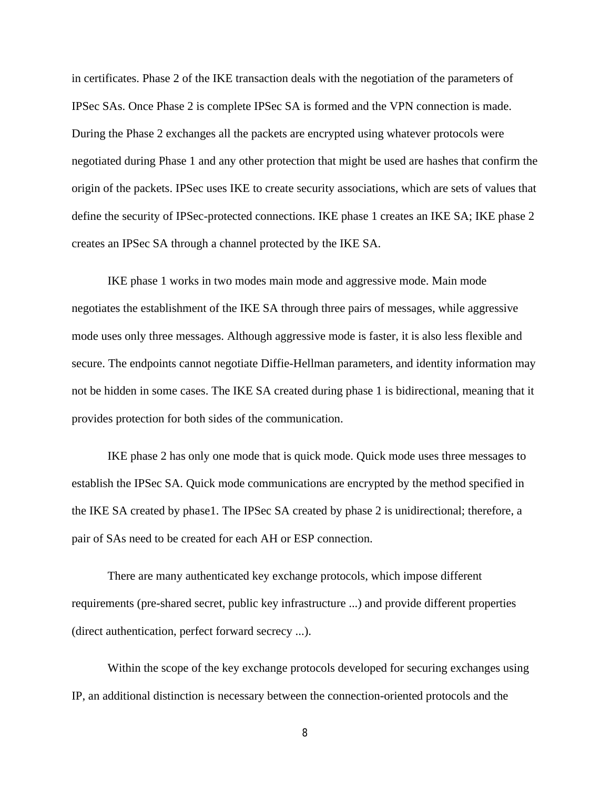in certificates. Phase 2 of the IKE transaction deals with the negotiation of the parameters of IPSec SAs. Once Phase 2 is complete IPSec SA is formed and the VPN connection is made. During the Phase 2 exchanges all the packets are encrypted using whatever protocols were negotiated during Phase 1 and any other protection that might be used are hashes that confirm the origin of the packets. IPSec uses IKE to create security associations, which are sets of values that define the security of IPSec-protected connections. IKE phase 1 creates an IKE SA; IKE phase 2 creates an IPSec SA through a channel protected by the IKE SA.

IKE phase 1 works in two modes main mode and aggressive mode. Main mode negotiates the establishment of the IKE SA through three pairs of messages, while aggressive mode uses only three messages. Although aggressive mode is faster, it is also less flexible and secure. The endpoints cannot negotiate Diffie-Hellman parameters, and identity information may not be hidden in some cases. The IKE SA created during phase 1 is bidirectional, meaning that it provides protection for both sides of the communication.

IKE phase 2 has only one mode that is quick mode. Quick mode uses three messages to establish the IPSec SA. Quick mode communications are encrypted by the method specified in the IKE SA created by phase1. The IPSec SA created by phase 2 is unidirectional; therefore, a pair of SAs need to be created for each AH or ESP connection.

There are many authenticated key exchange protocols, which impose different requirements (pre-shared secret, public key infrastructure ...) and provide different properties (direct authentication, perfect forward secrecy ...).

Within the scope of the key exchange protocols developed for securing exchanges using IP, an additional distinction is necessary between the connection-oriented protocols and the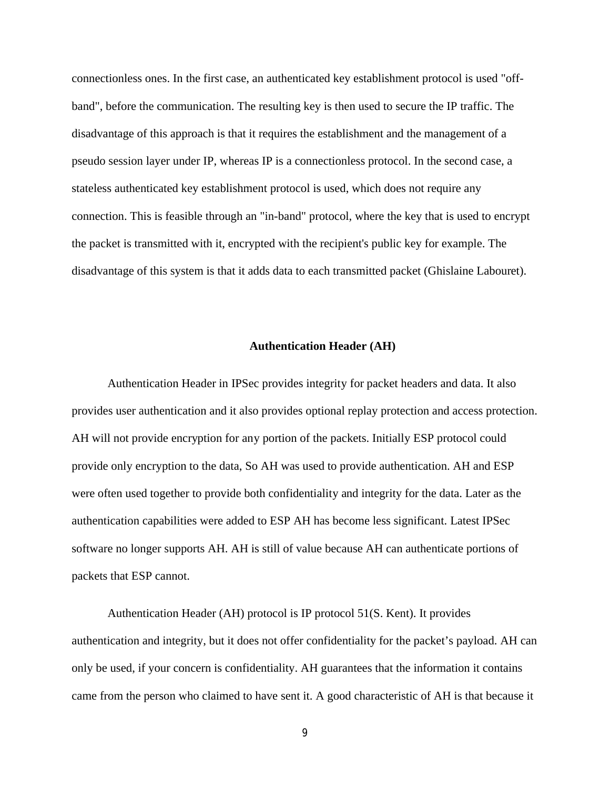connectionless ones. In the first case, an authenticated key establishment protocol is used "offband", before the communication. The resulting key is then used to secure the IP traffic. The disadvantage of this approach is that it requires the establishment and the management of a pseudo session layer under IP, whereas IP is a connectionless protocol. In the second case, a stateless authenticated key establishment protocol is used, which does not require any connection. This is feasible through an "in-band" protocol, where the key that is used to encrypt the packet is transmitted with it, encrypted with the recipient's public key for example. The disadvantage of this system is that it adds data to each transmitted packet (Ghislaine Labouret).

## **Authentication Header (AH)**

Authentication Header in IPSec provides integrity for packet headers and data. It also provides user authentication and it also provides optional replay protection and access protection. AH will not provide encryption for any portion of the packets. Initially ESP protocol could provide only encryption to the data, So AH was used to provide authentication. AH and ESP were often used together to provide both confidentiality and integrity for the data. Later as the authentication capabilities were added to ESP AH has become less significant. Latest IPSec software no longer supports AH. AH is still of value because AH can authenticate portions of packets that ESP cannot.

Authentication Header (AH) protocol is IP protocol 51(S. Kent). It provides authentication and integrity, but it does not offer confidentiality for the packet's payload. AH can only be used, if your concern is confidentiality. AH guarantees that the information it contains came from the person who claimed to have sent it. A good characteristic of AH is that because it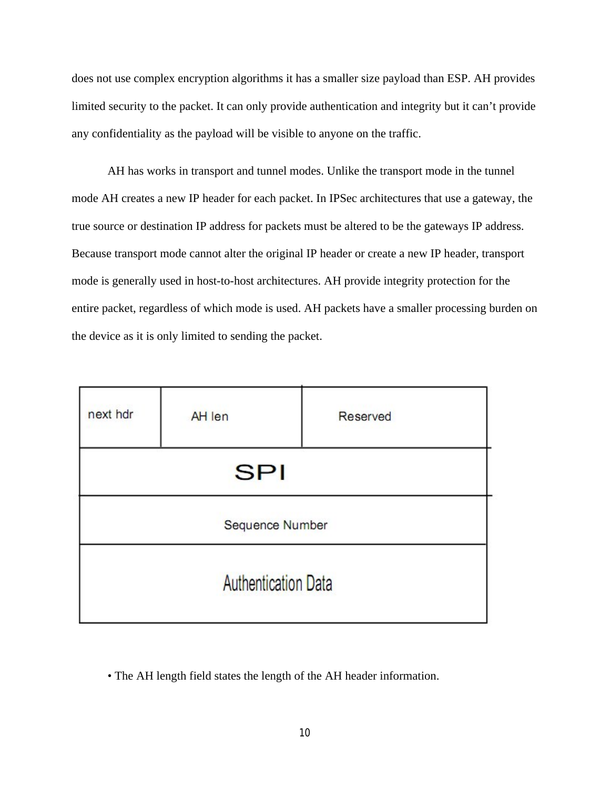does not use complex encryption algorithms it has a smaller size payload than ESP. AH provides limited security to the packet. It can only provide authentication and integrity but it can't provide any confidentiality as the payload will be visible to anyone on the traffic.

AH has works in transport and tunnel modes. Unlike the transport mode in the tunnel mode AH creates a new IP header for each packet. In IPSec architectures that use a gateway, the true source or destination IP address for packets must be altered to be the gateways IP address. Because transport mode cannot alter the original IP header or create a new IP header, transport mode is generally used in host-to-host architectures. AH provide integrity protection for the entire packet, regardless of which mode is used. AH packets have a smaller processing burden on the device as it is only limited to sending the packet.

| next hdr                   | AH len | Reserved |
|----------------------------|--------|----------|
| <b>SPI</b>                 |        |          |
| Sequence Number            |        |          |
| <b>Authentication Data</b> |        |          |

• The AH length field states the length of the AH header information.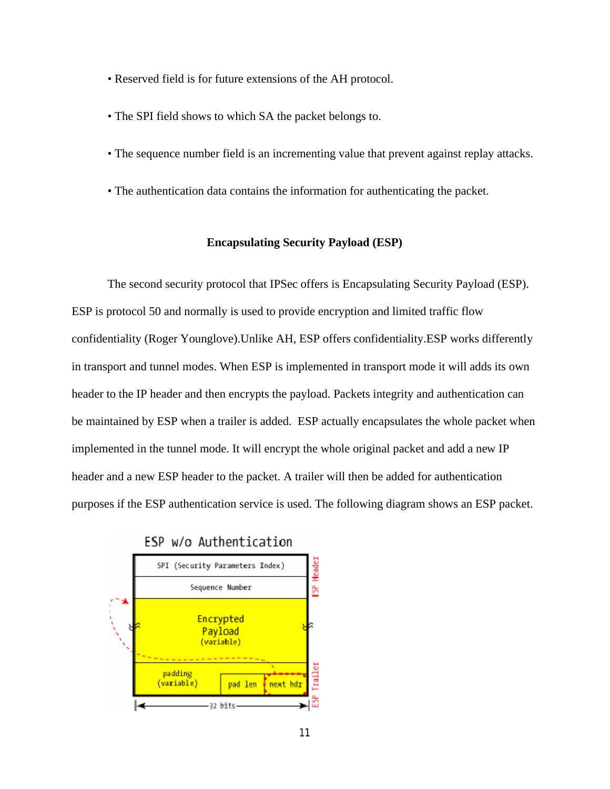- Reserved field is for future extensions of the AH protocol.
- The SPI field shows to which SA the packet belongs to.
- The sequence number field is an incrementing value that prevent against replay attacks.
- The authentication data contains the information for authenticating the packet.

#### **Encapsulating Security Payload (ESP)**

The second security protocol that IPSec offers is Encapsulating Security Payload (ESP). ESP is protocol 50 and normally is used to provide encryption and limited traffic flow confidentiality (Roger Younglove).Unlike AH, ESP offers confidentiality.ESP works differently in transport and tunnel modes. When ESP is implemented in transport mode it will adds its own header to the IP header and then encrypts the payload. Packets integrity and authentication can be maintained by ESP when a trailer is added. ESP actually encapsulates the whole packet when implemented in the tunnel mode. It will encrypt the whole original packet and add a new IP header and a new ESP header to the packet. A trailer will then be added for authentication purposes if the ESP authentication service is used. The following diagram shows an ESP packet.

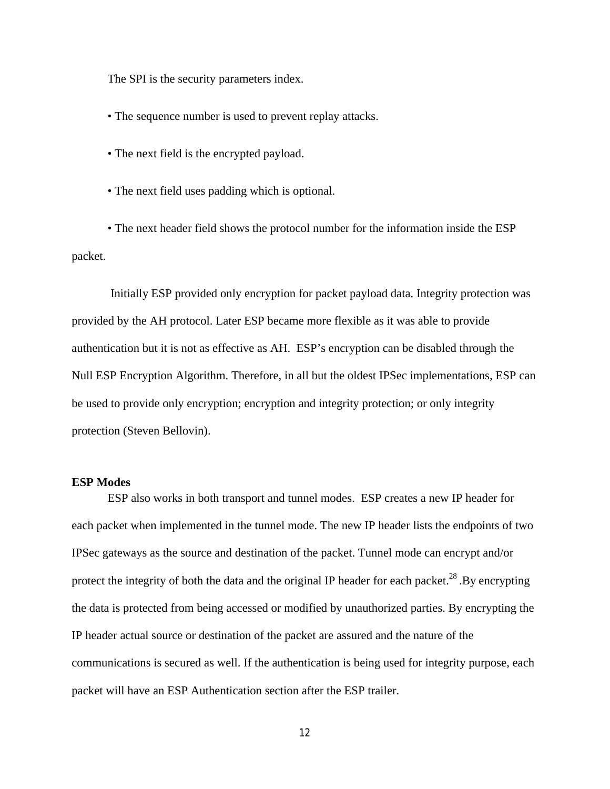The SPI is the security parameters index.

• The sequence number is used to prevent replay attacks.

- The next field is the encrypted payload.
- The next field uses padding which is optional.

• The next header field shows the protocol number for the information inside the ESP packet.

Initially ESP provided only encryption for packet payload data. Integrity protection was provided by the AH protocol. Later ESP became more flexible as it was able to provide authentication but it is not as effective as AH. ESP's encryption can be disabled through the Null ESP Encryption Algorithm. Therefore, in all but the oldest IPSec implementations, ESP can be used to provide only encryption; encryption and integrity protection; or only integrity protection (Steven Bellovin).

# **ESP Modes**

ESP also works in both transport and tunnel modes. ESP creates a new IP header for each packet when implemented in the tunnel mode. The new IP header lists the endpoints of two IPSec gateways as the source and destination of the packet. Tunnel mode can encrypt and/or protect the integrity of both the data and the original IP header for each packet.<sup>28</sup> .By encrypting the data is protected from being accessed or modified by unauthorized parties. By encrypting the IP header actual source or destination of the packet are assured and the nature of the communications is secured as well. If the authentication is being used for integrity purpose, each packet will have an ESP Authentication section after the ESP trailer.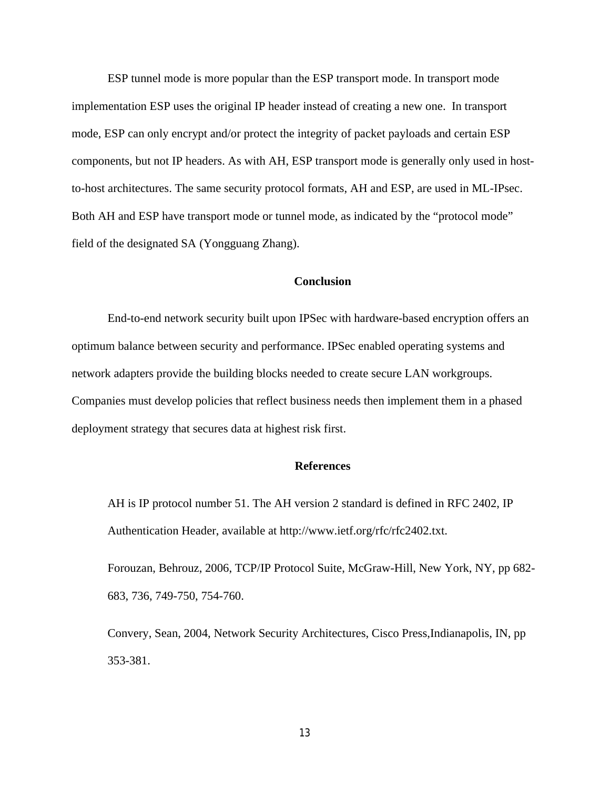ESP tunnel mode is more popular than the ESP transport mode. In transport mode implementation ESP uses the original IP header instead of creating a new one. In transport mode, ESP can only encrypt and/or protect the integrity of packet payloads and certain ESP components, but not IP headers. As with AH, ESP transport mode is generally only used in hostto-host architectures. The same security protocol formats, AH and ESP, are used in ML-IPsec. Both AH and ESP have transport mode or tunnel mode, as indicated by the "protocol mode" field of the designated SA (Yongguang Zhang).

# **Conclusion**

End-to-end network security built upon IPSec with hardware-based encryption offers an optimum balance between security and performance. IPSec enabled operating systems and network adapters provide the building blocks needed to create secure LAN workgroups. Companies must develop policies that reflect business needs then implement them in a phased deployment strategy that secures data at highest risk first.

## **References**

AH is IP protocol number 51. The AH version 2 standard is defined in RFC 2402, IP Authentication Header, available at http://www.ietf.org/rfc/rfc2402.txt.

Forouzan, Behrouz, 2006, TCP/IP Protocol Suite, McGraw-Hill, New York, NY, pp 682- 683, 736, 749-750, 754-760.

Convery, Sean, 2004, Network Security Architectures, Cisco Press,Indianapolis, IN, pp 353-381.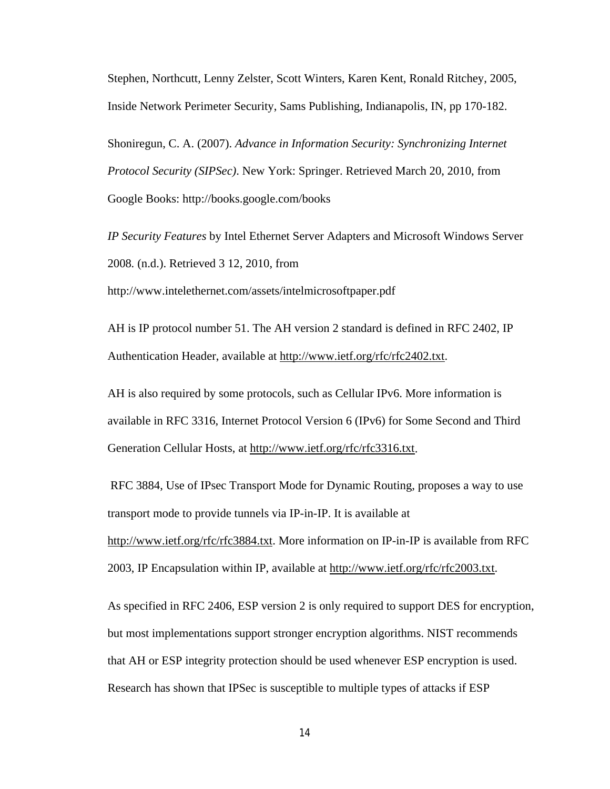Stephen, Northcutt, Lenny Zelster, Scott Winters, Karen Kent, Ronald Ritchey, 2005, Inside Network Perimeter Security, Sams Publishing, Indianapolis, IN, pp 170-182.

Shoniregun, C. A. (2007). *Advance in Information Security: Synchronizing Internet Protocol Security (SIPSec)*. New York: Springer. Retrieved March 20, 2010, from Google Books: http://books.google.com/books

*IP Security Features* by Intel Ethernet Server Adapters and Microsoft Windows Server 2008*.* (n.d.). Retrieved 3 12, 2010, from

http://www.intelethernet.com/assets/intelmicrosoftpaper.pdf

AH is IP protocol number 51. The AH version 2 standard is defined in RFC 2402, IP Authentication Header, available at http://www.ietf.org/rfc/rfc2402.txt.

AH is also required by some protocols, such as Cellular IPv6. More information is available in RFC 3316, Internet Protocol Version 6 (IPv6) for Some Second and Third Generation Cellular Hosts, at http://www.ietf.org/rfc/rfc3316.txt.

RFC 3884, Use of IPsec Transport Mode for Dynamic Routing, proposes a way to use transport mode to provide tunnels via IP-in-IP. It is available at http://www.ietf.org/rfc/rfc3884.txt. More information on IP-in-IP is available from RFC 2003, IP Encapsulation within IP, available at http://www.ietf.org/rfc/rfc2003.txt.

As specified in RFC 2406, ESP version 2 is only required to support DES for encryption, but most implementations support stronger encryption algorithms. NIST recommends that AH or ESP integrity protection should be used whenever ESP encryption is used. Research has shown that IPSec is susceptible to multiple types of attacks if ESP